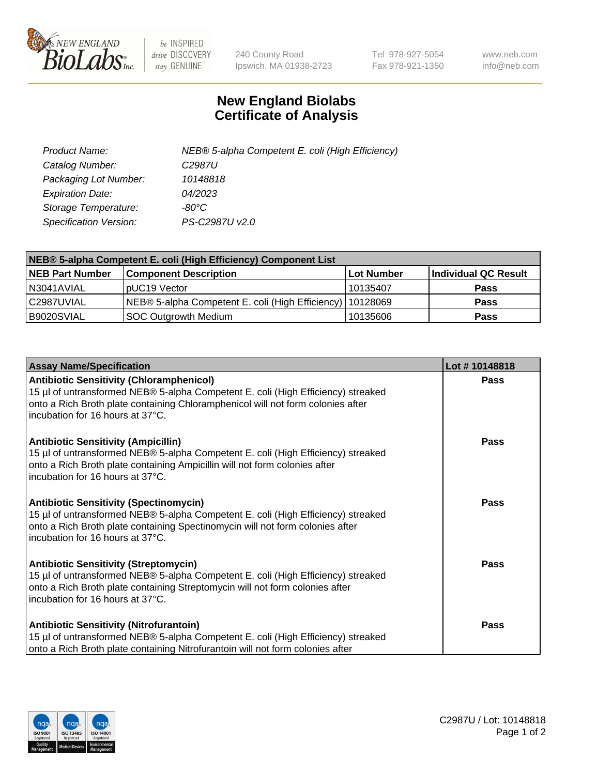

 $be$  INSPIRED drive DISCOVERY stay GENUINE

240 County Road Ipswich, MA 01938-2723 Tel 978-927-5054 Fax 978-921-1350 www.neb.com info@neb.com

## **New England Biolabs Certificate of Analysis**

| Product Name:           | NEB® 5-alpha Competent E. coli (High Efficiency) |
|-------------------------|--------------------------------------------------|
| Catalog Number:         | C <sub>2987</sub> U                              |
| Packaging Lot Number:   | 10148818                                         |
| <b>Expiration Date:</b> | 04/2023                                          |
| Storage Temperature:    | -80°C                                            |
| Specification Version:  | PS-C2987U v2.0                                   |

| NEB® 5-alpha Competent E. coli (High Efficiency) Component List |                                                             |            |                      |  |
|-----------------------------------------------------------------|-------------------------------------------------------------|------------|----------------------|--|
| <b>NEB Part Number</b>                                          | <b>Component Description</b>                                | Lot Number | Individual QC Result |  |
| N3041AVIAL                                                      | pUC19 Vector                                                | 10135407   | <b>Pass</b>          |  |
| C2987UVIAL                                                      | NEB® 5-alpha Competent E. coli (High Efficiency)   10128069 |            | <b>Pass</b>          |  |
| B9020SVIAL                                                      | SOC Outgrowth Medium                                        | 10135606   | <b>Pass</b>          |  |

| <b>Assay Name/Specification</b>                                                                                                                                                                                                                            | Lot #10148818 |
|------------------------------------------------------------------------------------------------------------------------------------------------------------------------------------------------------------------------------------------------------------|---------------|
| <b>Antibiotic Sensitivity (Chloramphenicol)</b><br>15 µl of untransformed NEB® 5-alpha Competent E. coli (High Efficiency) streaked<br>onto a Rich Broth plate containing Chloramphenicol will not form colonies after<br>incubation for 16 hours at 37°C. | Pass          |
| <b>Antibiotic Sensitivity (Ampicillin)</b><br>15 µl of untransformed NEB® 5-alpha Competent E. coli (High Efficiency) streaked<br>onto a Rich Broth plate containing Ampicillin will not form colonies after<br>incubation for 16 hours at 37°C.           | <b>Pass</b>   |
| <b>Antibiotic Sensitivity (Spectinomycin)</b><br>15 µl of untransformed NEB® 5-alpha Competent E. coli (High Efficiency) streaked<br>onto a Rich Broth plate containing Spectinomycin will not form colonies after<br>incubation for 16 hours at 37°C.     | Pass          |
| <b>Antibiotic Sensitivity (Streptomycin)</b><br>15 µl of untransformed NEB® 5-alpha Competent E. coli (High Efficiency) streaked<br>onto a Rich Broth plate containing Streptomycin will not form colonies after<br>incubation for 16 hours at 37°C.       | Pass          |
| <b>Antibiotic Sensitivity (Nitrofurantoin)</b><br>15 µl of untransformed NEB® 5-alpha Competent E. coli (High Efficiency) streaked<br>onto a Rich Broth plate containing Nitrofurantoin will not form colonies after                                       | Pass          |